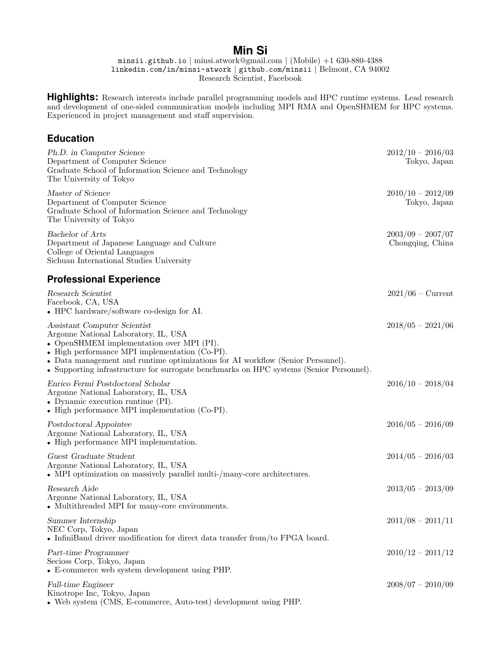# **Min Si**

minsii.github.io | minsi.atwork@gmail.com | (Mobile) +1 630-880-4388 linkedin.com/in/minsi-atwork | github.com/minsii | Belmont, CA 94002 Research Scientist, Facebook

**Highlights:** Research interests include parallel programming models and HPC runtime systems. Lead research and development of one-sided communication models including MPI RMA and OpenSHMEM for HPC systems. Experienced in project management and staff supervision.

### **Education**

| Ph.D. in Computer Science<br>Department of Computer Science<br>Graduate School of Information Science and Technology<br>The University of Tokyo                                                                                                                                                                                                   | $2012/10 - 2016/03$<br>Tokyo, Japan     |
|---------------------------------------------------------------------------------------------------------------------------------------------------------------------------------------------------------------------------------------------------------------------------------------------------------------------------------------------------|-----------------------------------------|
| Master of Science<br>Department of Computer Science<br>Graduate School of Information Science and Technology<br>The University of Tokyo                                                                                                                                                                                                           | $2010/10 - 2012/09$<br>Tokyo, Japan     |
| <b>Bachelor</b> of Arts<br>Department of Japanese Language and Culture<br>College of Oriental Languages<br>Sichuan International Studies University                                                                                                                                                                                               | $2003/09 - 2007/07$<br>Chongqing, China |
| <b>Professional Experience</b>                                                                                                                                                                                                                                                                                                                    |                                         |
| Research Scientist<br>Facebook, CA, USA<br>• HPC hardware/software co-design for AI.                                                                                                                                                                                                                                                              | $2021/06$ – Current                     |
| Assistant Computer Scientist<br>Argonne National Laboratory, IL, USA<br>• OpenSHMEM implementation over MPI (PI).<br>• High performance MPI implementation (Co-PI).<br>• Data management and runtime optimizations for AI workflow (Senior Personnel).<br>• Supporting infrastructure for surrogate benchmarks on HPC systems (Senior Personnel). | $2018/05 - 2021/06$                     |
| Enrico Fermi Postdoctoral Scholar<br>Argonne National Laboratory, IL, USA<br>• Dynamic execution runtime $(PI)$ .<br>• High performance MPI implementation $(Co-PI)$ .                                                                                                                                                                            | $2016/10 - 2018/04$                     |
| Postdoctoral Appointee<br>Argonne National Laboratory, IL, USA<br>• High performance MPI implementation.                                                                                                                                                                                                                                          | $2016/05 - 2016/09$                     |
| Guest Graduate Student<br>Argonne National Laboratory, IL, USA<br>• MPI optimization on massively parallel multi-/many-core architectures.                                                                                                                                                                                                        | $2014/05 - 2016/03$                     |
| Research Aide<br>Argonne National Laboratory, IL, USA<br>• Multithreaded MPI for many-core environments.                                                                                                                                                                                                                                          | $2013/05 - 2013/09$                     |
| Summer Internship<br>NEC Corp, Tokyo, Japan<br>• InfiniBand driver modification for direct data transfer from/to FPGA board.                                                                                                                                                                                                                      | $2011/08 - 2011/11$                     |
| Part-time Programmer<br>Secioss Corp, Tokyo, Japan<br>• E-commerce web system development using PHP.                                                                                                                                                                                                                                              | $2010/12 - 2011/12$                     |
| <b>Full-time Engineer</b><br>Kinotrope Inc, Tokyo, Japan<br>• Web system (CMS, E-commerce, Auto-test) development using PHP.                                                                                                                                                                                                                      | $2008/07 - 2010/09$                     |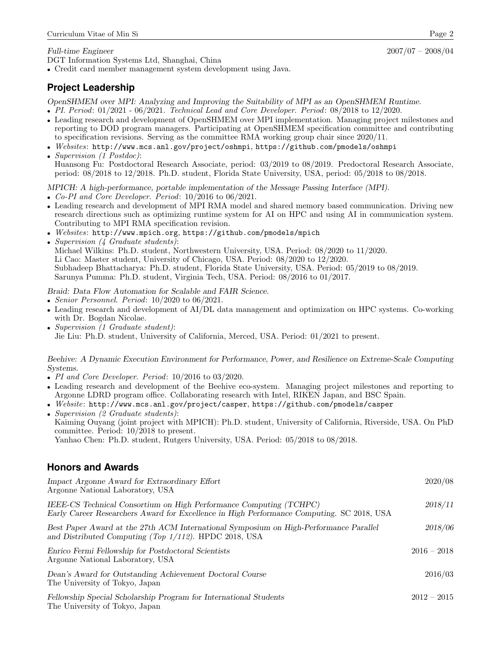#### Full-time Engineer 2007/07 – 2008/04

DGT Information Systems Ltd, Shanghai, China

• Credit card member management system development using Java.

## **Project Leadership**

OpenSHMEM over MPI: Analyzing and Improving the Suitability of MPI as an OpenSHMEM Runtime.

- PI. Period: 01/2021 06/2021. Technical Lead and Core Developer. Period: 08/2018 to 12/2020.
- Leading research and development of OpenSHMEM over MPI implementation. Managing project milestones and reporting to DOD program managers. Participating at OpenSHMEM specification committee and contributing to specification revisions. Serving as the committee RMA working group chair since 2020/11.
- Websites: http://www.mcs.anl.gov/project/oshmpi, https://github.com/pmodels/oshmpi
- Supervision (1 Postdoc): Huansong Fu: Postdoctoral Research Associate, period: 03/2019 to 08/2019. Predoctoral Research Associate, period: 08/2018 to 12/2018. Ph.D. student, Florida State University, USA, period: 05/2018 to 08/2018.

MPICH: A high-performance, portable implementation of the Message Passing Interface (MPI).

- Co-PI and Core Developer. Period: 10/2016 to 06/2021.
- Leading research and development of MPI RMA model and shared memory based communication. Driving new research directions such as optimizing runtime system for AI on HPC and using AI in communication system. Contributing to MPI RMA specification revision.
- Websites: http://www.mpich.org, https://github.com/pmodels/mpich
- Supervision (4 Graduate students): Michael Wilkins: Ph.D. student, Northwestern University, USA. Period: 08/2020 to 11/2020. Li Cao: Master student, University of Chicago, USA. Period: 08/2020 to 12/2020. Subhadeep Bhattacharya: Ph.D. student, Florida State University, USA. Period: 05/2019 to 08/2019. Sarunya Pumma: Ph.D. student, Virginia Tech, USA. Period: 08/2016 to 01/2017.

Braid: Data Flow Automation for Scalable and FAIR Science.

- Senior Personnel. Period: 10/2020 to 06/2021.
- Leading research and development of AI/DL data management and optimization on HPC systems. Co-working with Dr. Bogdan Nicolae.
- Supervision (1 Graduate student): Jie Liu: Ph.D. student, University of California, Merced, USA. Period: 01/2021 to present.

Beehive: A Dynamic Execution Environment for Performance, Power, and Resilience on Extreme-Scale Computing Systems.

- PI and Core Developer. Period:  $10/2016$  to  $03/2020$ .
- Leading research and development of the Beehive eco-system. Managing project milestones and reporting to Argonne LDRD program office. Collaborating research with Intel, RIKEN Japan, and BSC Spain.

• Website: http://www.mcs.anl.gov/project/casper, https://github.com/pmodels/casper

• Supervision (2 Graduate students): Kaiming Ouyang (joint project with MPICH): Ph.D. student, University of California, Riverside, USA. On PhD committee. Period: 10/2018 to present. Yanhao Chen: Ph.D. student, Rutgers University, USA. Period: 05/2018 to 08/2018.

## **Honors and Awards**

| Impact Argonne Award for Extraordinary Effort<br>Argonne National Laboratory, USA                                                                               | 2020/08       |
|-----------------------------------------------------------------------------------------------------------------------------------------------------------------|---------------|
| IEEE-CS Technical Consortium on High Performance Computing (TCHPC)<br>Early Career Researchers Award for Excellence in High Performance Computing. SC 2018, USA | 2018/11       |
| Best Paper Award at the 27th ACM International Symposium on High-Performance Parallel<br>and Distributed Computing (Top $1/112$ ). HPDC 2018, USA               | 2018/06       |
| Enrico Fermi Fellowship for Postdoctoral Scientists<br>Argonne National Laboratory, USA                                                                         | $2016 - 2018$ |
| Dean's Award for Outstanding Achievement Doctoral Course<br>The University of Tokyo, Japan                                                                      | 2016/03       |
| Fellowship Special Scholarship Program for International Students<br>The University of Tokyo, Japan                                                             | $2012 - 2015$ |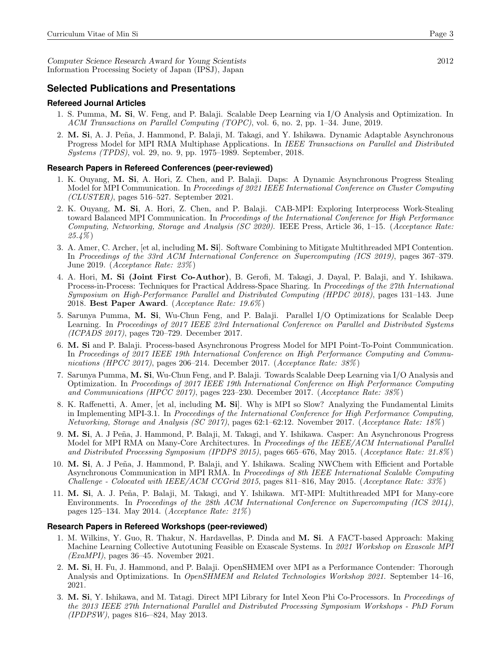Computer Science Research Award for Young Scientists 2012 Information Processing Society of Japan (IPSJ), Japan

#### **Selected Publications and Presentations**

#### **Refereed Journal Articles**

- 1. S. Pumma, M. Si, W. Feng, and P. Balaji. Scalable Deep Learning via I/O Analysis and Optimization. In ACM Transactions on Parallel Computing (TOPC), vol. 6, no. 2, pp. 1–34. June, 2019.
- 2. M. Si, A. J. Peña, J. Hammond, P. Balaji, M. Takagi, and Y. Ishikawa. Dynamic Adaptable Asynchronous Progress Model for MPI RMA Multiphase Applications. In IEEE Transactions on Parallel and Distributed Systems (TPDS), vol. 29, no. 9, pp. 1975–1989. September, 2018.

#### **Research Papers in Refereed Conferences (peer-reviewed)**

- 1. K. Ouyang, M. Si, A. Hori, Z. Chen, and P. Balaji. Daps: A Dynamic Asynchronous Progress Stealing Model for MPI Communication. In Proceedings of 2021 IEEE International Conference on Cluster Computing (CLUSTER), pages 516–527. September 2021.
- 2. K. Ouyang, M. Si, A. Hori, Z. Chen, and P. Balaji. CAB-MPI: Exploring Interprocess Work-Stealing toward Balanced MPI Communication. In Proceedings of the International Conference for High Performance Computing, Networking, Storage and Analysis (SC 2020). IEEE Press, Article 36, 1–15. (Acceptance Rate: 25.4% )
- 3. A. Amer, C. Archer, [et al, including M. Si]. Software Combining to Mitigate Multithreaded MPI Contention. In Proceedings of the 33rd ACM International Conference on Supercomputing (ICS 2019), pages 367–379. June 2019. (Acceptance Rate: 23% )
- 4. A. Hori, M. Si (Joint First Co-Author), B. Gerofi, M. Takagi, J. Dayal, P. Balaji, and Y. Ishikawa. Process-in-Process: Techniques for Practical Address-Space Sharing. In Proceedings of the 27th International Symposium on High-Performance Parallel and Distributed Computing (HPDC 2018), pages 131–143. June 2018. Best Paper Award. (Acceptance Rate: 19.6% )
- 5. Sarunya Pumma, M. Si, Wu-Chun Feng, and P. Balaji. Parallel I/O Optimizations for Scalable Deep Learning. In Proceedings of 2017 IEEE 23rd International Conference on Parallel and Distributed Systems (ICPADS 2017), pages 720–729. December 2017.
- 6. M. Si and P. Balaji. Process-based Asynchronous Progress Model for MPI Point-To-Point Communication. In Proceedings of 2017 IEEE 19th International Conference on High Performance Computing and Communications (HPCC 2017), pages 206–214. December 2017. (Acceptance Rate: 38% )
- 7. Sarunya Pumma, M. Si, Wu-Chun Feng, and P. Balaji. Towards Scalable Deep Learning via I/O Analysis and Optimization. In Proceedings of 2017 IEEE 19th International Conference on High Performance Computing and Communications (HPCC 2017), pages 223–230. December 2017. (Acceptance Rate: 38% )
- 8. K. Raffenetti, A. Amer, [et al, including M. Si]. Why is MPI so Slow? Analyzing the Fundamental Limits in Implementing MPI-3.1. In Proceedings of the International Conference for High Performance Computing, Networking, Storage and Analysis (SC 2017), pages 62:1–62:12. November 2017. (Acceptance Rate: 18% )
- 9. M. Si, A. J Peña, J. Hammond, P. Balaji, M. Takagi, and Y. Ishikawa. Casper: An Asynchronous Progress Model for MPI RMA on Many-Core Architectures. In Proceedings of the IEEE/ACM International Parallel and Distributed Processing Symposium (IPDPS 2015), pages 665–676, May 2015. (Acceptance Rate: 21.8% )
- 10. M. Si, A. J Peña, J. Hammond, P. Balaji, and Y. Ishikawa. Scaling NWChem with Efficient and Portable Asynchronous Communication in MPI RMA. In Proceedings of 8th IEEE International Scalable Computing Challenge - Colocated with IEEE/ACM CCGrid 2015, pages 811–816, May 2015. (Acceptance Rate: 33% )
- 11. M. Si, A. J. Peña, P. Balaji, M. Takagi, and Y. Ishikawa. MT-MPI: Multithreaded MPI for Many-core Environments. In Proceedings of the 28th ACM International Conference on Supercomputing (ICS 2014), pages 125–134. May 2014. (Acceptance Rate: 21% )

#### **Research Papers in Refereed Workshops (peer-reviewed)**

- 1. M. Wilkins, Y. Guo, R. Thakur, N. Hardavellas, P. Dinda and M. Si. A FACT-based Approach: Making Machine Learning Collective Autotuning Feasible on Exascale Systems. In 2021 Workshop on Exascale MPI  $(ExaMPI)$ , pages 36–45. November 2021.
- 2. M. Si, H. Fu, J. Hammond, and P. Balaji. OpenSHMEM over MPI as a Performance Contender: Thorough Analysis and Optimizations. In OpenSHMEM and Related Technologies Workshop 2021. September 14–16, 2021.
- 3. M. Si, Y. Ishikawa, and M. Tatagi. Direct MPI Library for Intel Xeon Phi Co-Processors. In Proceedings of the 2013 IEEE 27th International Parallel and Distributed Processing Symposium Workshops - PhD Forum (IPDPSW), pages 816-–824, May 2013.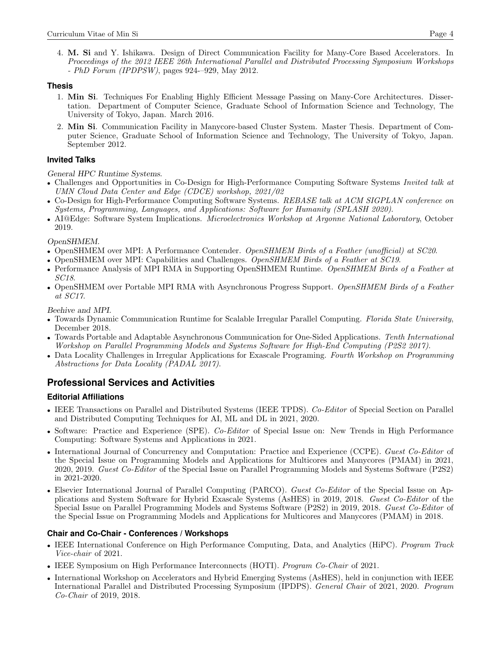4. M. Si and Y. Ishikawa. Design of Direct Communication Facility for Many-Core Based Accelerators. In Proceedings of the 2012 IEEE 26th International Parallel and Distributed Processing Symposium Workshops - PhD Forum (IPDPSW), pages 924-–929, May 2012.

### **Thesis**

- 1. Min Si. Techniques For Enabling Highly Efficient Message Passing on Many-Core Architectures. Dissertation. Department of Computer Science, Graduate School of Information Science and Technology, The University of Tokyo, Japan. March 2016.
- 2. Min Si. Communication Facility in Manycore-based Cluster System. Master Thesis. Department of Computer Science, Graduate School of Information Science and Technology, The University of Tokyo, Japan. September 2012.

### **Invited Talks**

General HPC Runtime Systems.

- Challenges and Opportunities in Co-Design for High-Performance Computing Software Systems *Invited talk at* UMN Cloud Data Center and Edge (CDCE) workshop, 2021/02
- Co-Design for High-Performance Computing Software Systems. REBASE talk at ACM SIGPLAN conference on Systems, Programming, Languages, and Applications: Software for Humanity (SPLASH 2020).
- AI@Edge: Software System Implications. Microelectronics Workshop at Argonne National Laboratory, October 2019.

#### OpenSHMEM.

- OpenSHMEM over MPI: A Performance Contender. OpenSHMEM Birds of a Feather (unofficial) at SC20.
- OpenSHMEM over MPI: Capabilities and Challenges. OpenSHMEM Birds of a Feather at SC19.
- Performance Analysis of MPI RMA in Supporting OpenSHMEM Runtime. OpenSHMEM Birds of a Feather at SC18.
- OpenSHMEM over Portable MPI RMA with Asynchronous Progress Support. OpenSHMEM Birds of a Feather at SC17.

Beehive and MPI.

- Towards Dynamic Communication Runtime for Scalable Irregular Parallel Computing. Florida State University, December 2018.
- Towards Portable and Adaptable Asynchronous Communication for One-Sided Applications. Tenth International Workshop on Parallel Programming Models and Systems Software for High-End Computing (P2S2 2017).
- Data Locality Challenges in Irregular Applications for Exascale Programing. Fourth Workshop on Programming Abstractions for Data Locality (PADAL 2017).

## **Professional Services and Activities**

### **Editorial Affiliations**

- IEEE Transactions on Parallel and Distributed Systems (IEEE TPDS). Co-Editor of Special Section on Parallel and Distributed Computing Techniques for AI, ML and DL in 2021, 2020.
- Software: Practice and Experience (SPE). Co-Editor of Special Issue on: New Trends in High Performance Computing: Software Systems and Applications in 2021.
- International Journal of Concurrency and Computation: Practice and Experience (CCPE). Guest Co-Editor of the Special Issue on Programming Models and Applications for Multicores and Manycores (PMAM) in 2021, 2020, 2019. Guest Co-Editor of the Special Issue on Parallel Programming Models and Systems Software (P2S2) in 2021-2020.
- Elsevier International Journal of Parallel Computing (PARCO). Guest Co-Editor of the Special Issue on Applications and System Software for Hybrid Exascale Systems (AsHES) in 2019, 2018. Guest Co-Editor of the Special Issue on Parallel Programming Models and Systems Software (P2S2) in 2019, 2018. Guest Co-Editor of the Special Issue on Programming Models and Applications for Multicores and Manycores (PMAM) in 2018.

### **Chair and Co-Chair - Conferences / Workshops**

- IEEE International Conference on High Performance Computing, Data, and Analytics (HiPC). Program Track Vice-chair of 2021.
- IEEE Symposium on High Performance Interconnects (HOTI). Program Co-Chair of 2021.
- International Workshop on Accelerators and Hybrid Emerging Systems (AsHES), held in conjunction with IEEE International Parallel and Distributed Processing Symposium (IPDPS). General Chair of 2021, 2020. Program Co-Chair of 2019, 2018.